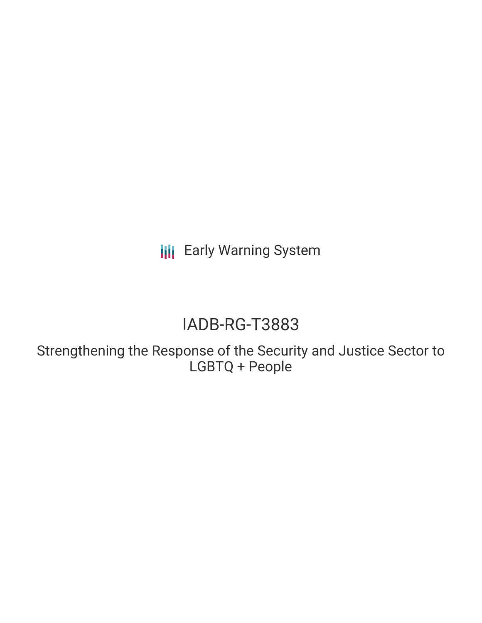**III** Early Warning System

# IADB-RG-T3883

Strengthening the Response of the Security and Justice Sector to LGBTQ + People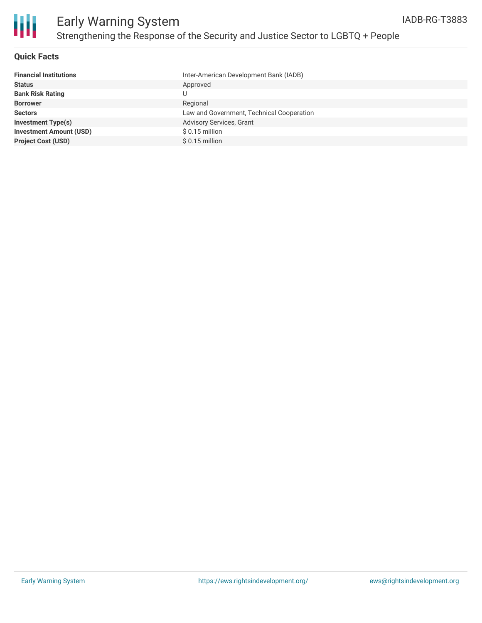

### **Quick Facts**

| <b>Financial Institutions</b>  | Inter-American Development Bank (IADB)    |
|--------------------------------|-------------------------------------------|
| <b>Status</b>                  | Approved                                  |
| <b>Bank Risk Rating</b>        | U                                         |
| <b>Borrower</b>                | Regional                                  |
| <b>Sectors</b>                 | Law and Government, Technical Cooperation |
| <b>Investment Type(s)</b>      | <b>Advisory Services, Grant</b>           |
| <b>Investment Amount (USD)</b> | $$0.15$ million                           |
| <b>Project Cost (USD)</b>      | $$0.15$ million                           |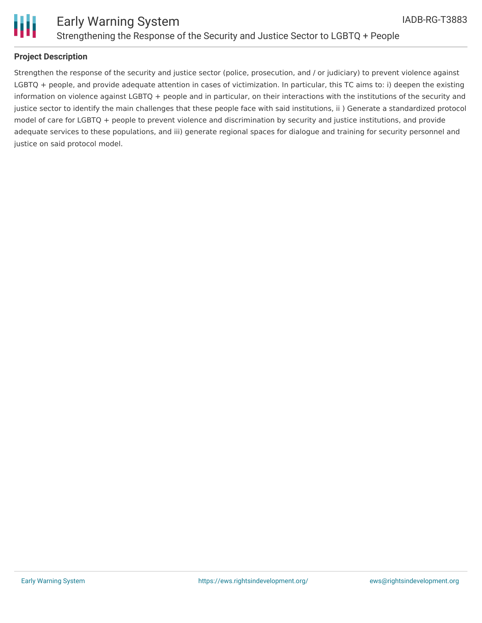

### **Project Description**

Strengthen the response of the security and justice sector (police, prosecution, and / or judiciary) to prevent violence against LGBTQ + people, and provide adequate attention in cases of victimization. In particular, this TC aims to: i) deepen the existing information on violence against LGBTQ + people and in particular, on their interactions with the institutions of the security and justice sector to identify the main challenges that these people face with said institutions, ii) Generate a standardized protocol model of care for LGBTQ + people to prevent violence and discrimination by security and justice institutions, and provide adequate services to these populations, and iii) generate regional spaces for dialogue and training for security personnel and justice on said protocol model.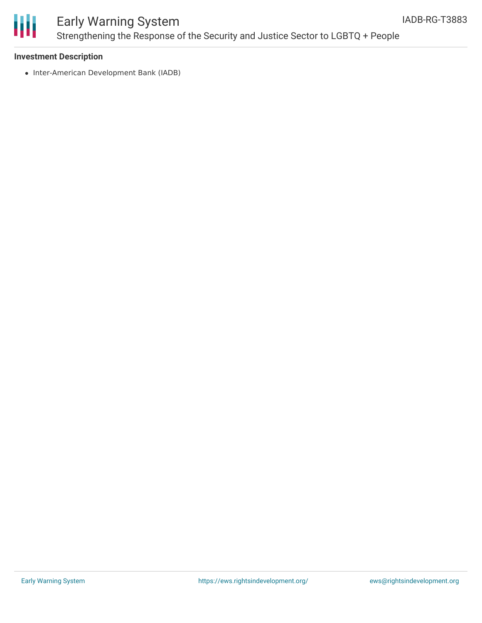

## Early Warning System Strengthening the Response of the Security and Justice Sector to LGBTQ + People

### **Investment Description**

• Inter-American Development Bank (IADB)